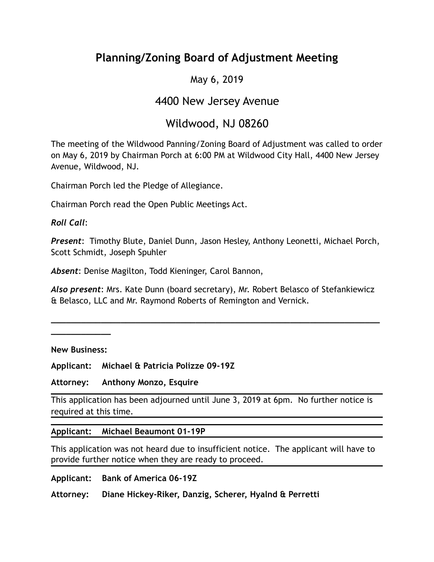# **Planning/Zoning Board of Adjustment Meeting**

#### May 6, 2019

### 4400 New Jersey Avenue

## Wildwood, NJ 08260

The meeting of the Wildwood Panning/Zoning Board of Adjustment was called to order on May 6, 2019 by Chairman Porch at 6:00 PM at Wildwood City Hall, 4400 New Jersey Avenue, Wildwood, NJ.

Chairman Porch led the Pledge of Allegiance.

Chairman Porch read the Open Public Meetings Act.

*Roll Call*:

*Present*: Timothy Blute, Daniel Dunn, Jason Hesley, Anthony Leonetti, Michael Porch, Scott Schmidt, Joseph Spuhler

*Absent*: Denise Magilton, Todd Kieninger, Carol Bannon,

*Also present*: Mrs. Kate Dunn (board secretary), Mr. Robert Belasco of Stefankiewicz & Belasco, LLC and Mr. Raymond Roberts of Remington and Vernick.

**\_\_\_\_\_\_\_\_\_\_\_\_\_\_\_\_\_\_\_\_\_\_\_\_\_\_\_\_\_\_\_\_\_\_\_\_\_\_\_\_\_\_\_\_\_\_\_\_\_\_\_\_\_\_\_\_\_\_\_\_\_\_\_\_\_\_**

**New Business:** 

**\_\_\_\_\_\_\_\_\_\_\_\_** 

**Applicant: Michael & Patricia Polizze 09-19Z** 

**Attorney: Anthony Monzo, Esquire** 

This application has been adjourned until June 3, 2019 at 6pm. No further notice is required at this time.

#### **Applicant: Michael Beaumont 01-19P**

This application was not heard due to insufficient notice. The applicant will have to provide further notice when they are ready to proceed.

**Applicant: Bank of America 06-19Z** 

**Attorney: Diane Hickey-Riker, Danzig, Scherer, Hyalnd & Perretti**